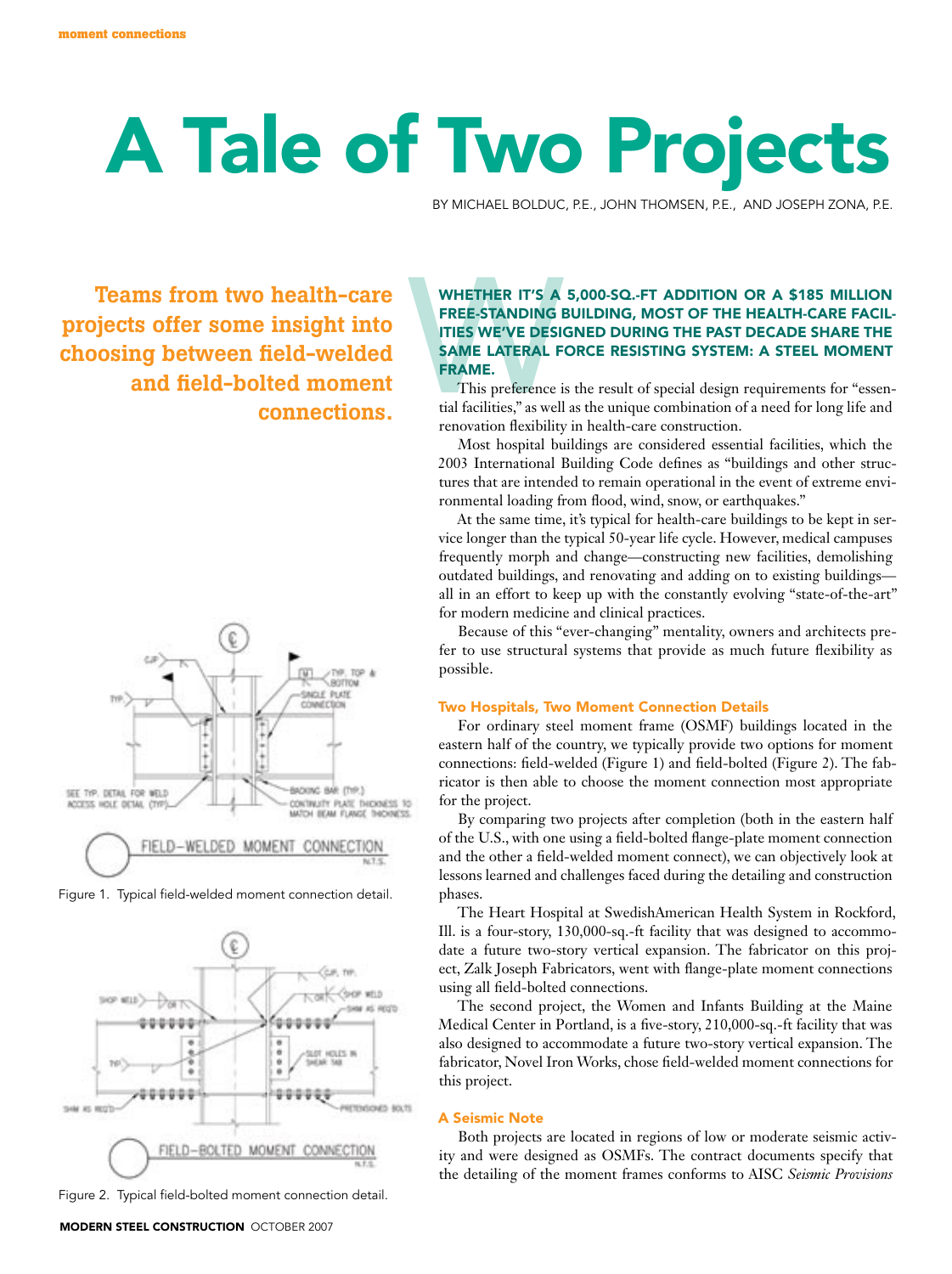# A Tale of Two Projects

By Michael Bolduc, P.E., John Thomsen, P.E., and Joseph Zona, P.E.

Teams from two health-care projects offer some insight into choosing between field-welded and field-bolted moment connections.



Figure 1. Typical field-welded moment connection detail.





# WHETHER IT'S A<br>FREE-STANDING I<br>ITIES WE'VE DESK<br>SAME LATERAL F<br>FRAME.<br>This preference i<br>tial facilities," as well<br>renovation flexibility WHETHER IT'S A 5,000-SQ.-FT ADDITION OR A \$185 MILLION free-standing building, most of the health-care facilities we've designed during the past decade share the same lateral force resisting system: a steel moment frame.

This preference is the result of special design requirements for "essential facilities," as well as the unique combination of a need for long life and renovation flexibility in health-care construction.

Most hospital buildings are considered essential facilities, which the 2003 International Building Code defines as "buildings and other structures that are intended to remain operational in the event of extreme environmental loading from flood, wind, snow, or earthquakes."

At the same time, it's typical for health-care buildings to be kept in service longer than the typical 50-year life cycle. However, medical campuses frequently morph and change—constructing new facilities, demolishing outdated buildings, and renovating and adding on to existing buildings all in an effort to keep up with the constantly evolving "state-of-the-art" for modern medicine and clinical practices.

Because of this "ever-changing" mentality, owners and architects prefer to use structural systems that provide as much future flexibility as possible.

## Two Hospitals, Two Moment Connection Details

For ordinary steel moment frame (OSMF) buildings located in the eastern half of the country, we typically provide two options for moment connections: field-welded (Figure 1) and field-bolted (Figure 2). The fabricator is then able to choose the moment connection most appropriate for the project.

By comparing two projects after completion (both in the eastern half of the U.S., with one using a field-bolted flange-plate moment connection and the other a field-welded moment connect), we can objectively look at lessons learned and challenges faced during the detailing and construction phases.

The Heart Hospital at SwedishAmerican Health System in Rockford, Ill. is a four-story, 130,000-sq.-ft facility that was designed to accommodate a future two-story vertical expansion. The fabricator on this project, Zalk Joseph Fabricators, went with flange-plate moment connections using all field-bolted connections.

The second project, the Women and Infants Building at the Maine Medical Center in Portland, is a five-story, 210,000-sq.-ft facility that was also designed to accommodate a future two-story vertical expansion. The fabricator, Novel Iron Works, chose field-welded moment connections for this project.

## A Seismic Note

Both projects are located in regions of low or moderate seismic activity and were designed as OSMFs. The contract documents specify that the detailing of the moment frames conforms to AISC *Seismic Provisions*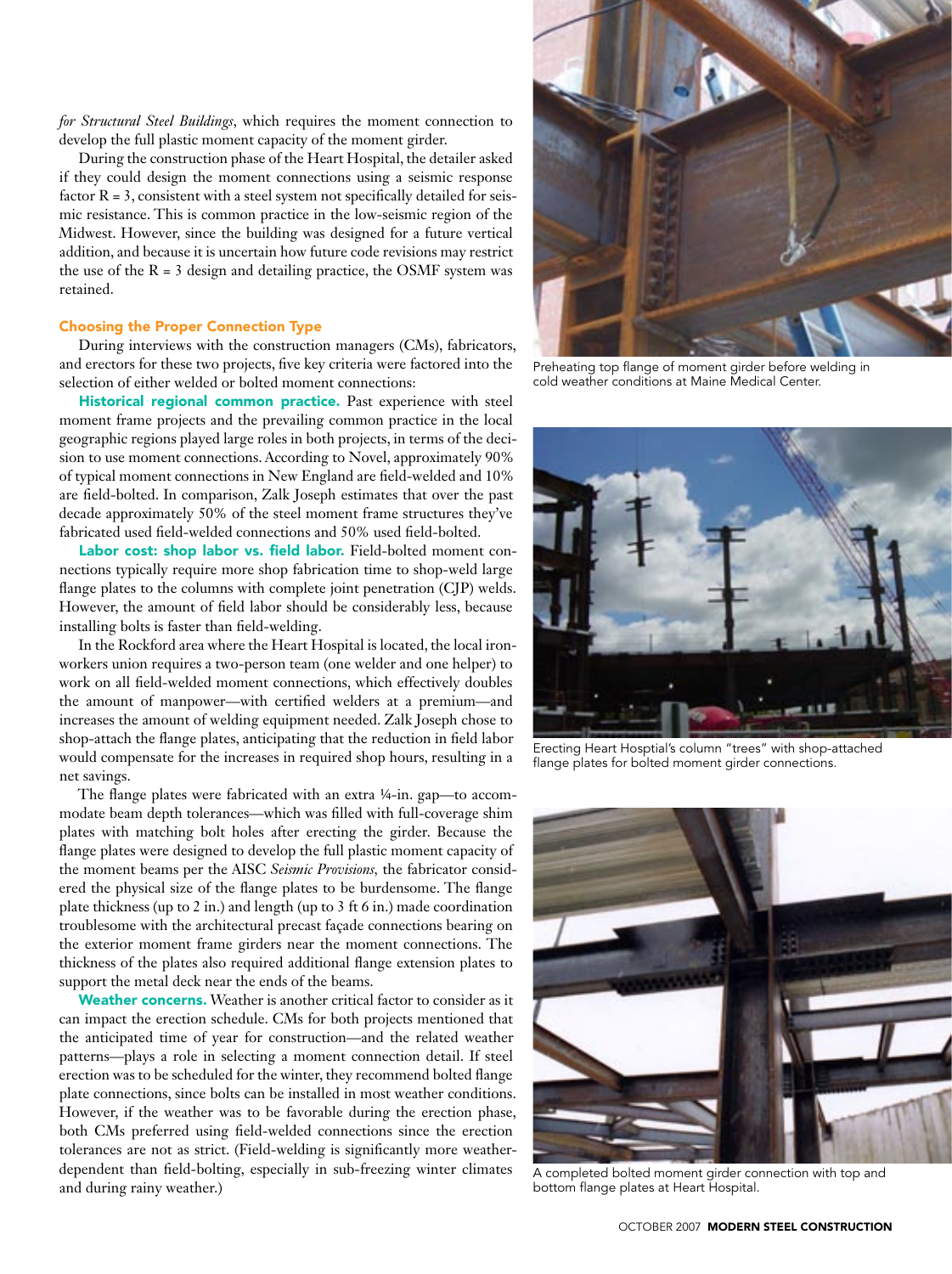*for Structural Steel Buildings*, which requires the moment connection to develop the full plastic moment capacity of the moment girder.

During the construction phase of the Heart Hospital, the detailer asked if they could design the moment connections using a seismic response factor  $R = 3$ , consistent with a steel system not specifically detailed for seismic resistance. This is common practice in the low-seismic region of the Midwest. However, since the building was designed for a future vertical addition, and because it is uncertain how future code revisions may restrict the use of the  $R = 3$  design and detailing practice, the OSMF system was retained.

#### Choosing the Proper Connection Type

During interviews with the construction managers (CMs), fabricators, and erectors for these two projects, five key criteria were factored into the selection of either welded or bolted moment connections:

Historical regional common practice. Past experience with steel moment frame projects and the prevailing common practice in the local geographic regions played large roles in both projects, in terms of the decision to use moment connections. According to Novel, approximately 90% of typical moment connections in New England are field-welded and 10% are field-bolted. In comparison, Zalk Joseph estimates that over the past decade approximately 50% of the steel moment frame structures they've fabricated used field-welded connections and 50% used field-bolted.

Labor cost: shop labor vs. field labor. Field-bolted moment connections typically require more shop fabrication time to shop-weld large flange plates to the columns with complete joint penetration (CJP) welds. However, the amount of field labor should be considerably less, because installing bolts is faster than field-welding.

In the Rockford area where the Heart Hospital is located, the local ironworkers union requires a two-person team (one welder and one helper) to work on all field-welded moment connections, which effectively doubles the amount of manpower—with certified welders at a premium—and increases the amount of welding equipment needed. Zalk Joseph chose to shop-attach the flange plates, anticipating that the reduction in field labor would compensate for the increases in required shop hours, resulting in a net savings.

The flange plates were fabricated with an extra ¼-in. gap—to accommodate beam depth tolerances—which was filled with full-coverage shim plates with matching bolt holes after erecting the girder. Because the flange plates were designed to develop the full plastic moment capacity of the moment beams per the AISC *Seismic Provisions,* the fabricator considered the physical size of the flange plates to be burdensome. The flange plate thickness (up to 2 in.) and length (up to 3 ft 6 in.) made coordination troublesome with the architectural precast façade connections bearing on the exterior moment frame girders near the moment connections. The thickness of the plates also required additional flange extension plates to support the metal deck near the ends of the beams.

Weather concerns. Weather is another critical factor to consider as it can impact the erection schedule. CMs for both projects mentioned that the anticipated time of year for construction—and the related weather patterns—plays a role in selecting a moment connection detail. If steel erection was to be scheduled for the winter, they recommend bolted flange plate connections, since bolts can be installed in most weather conditions. However, if the weather was to be favorable during the erection phase, both CMs preferred using field-welded connections since the erection tolerances are not as strict. (Field-welding is significantly more weatherdependent than field-bolting, especially in sub-freezing winter climates and during rainy weather.)



Preheating top flange of moment girder before welding in cold weather conditions at Maine Medical Center.



Erecting Heart Hosptial's column "trees" with shop-attached flange plates for bolted moment girder connections.



A completed bolted moment girder connection with top and bottom flange plates at Heart Hospital.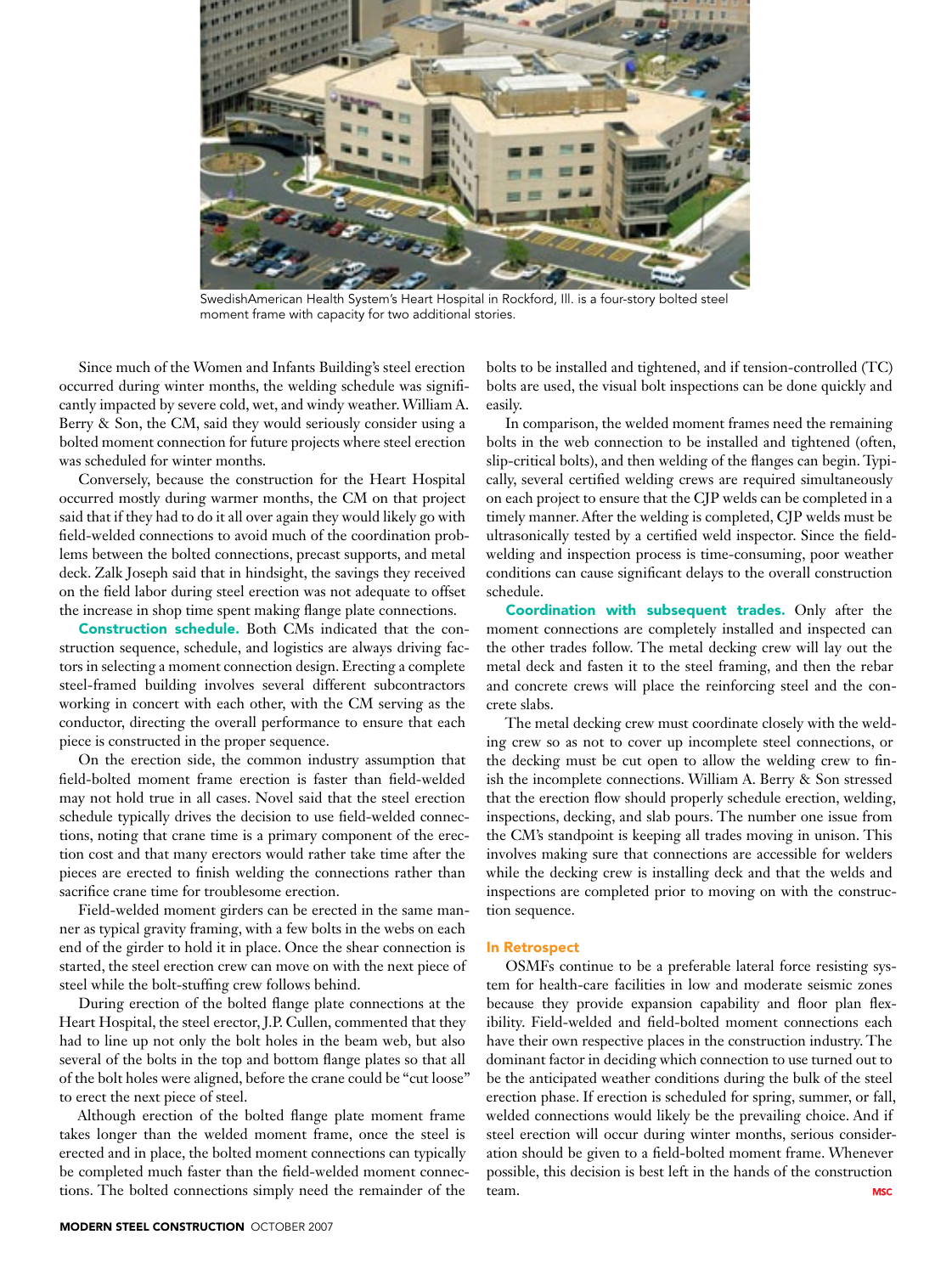

SwedishAmerican Health System's Heart Hospital in Rockford, Ill. is a four-story bolted steel moment frame with capacity for two additional stories.

Since much of the Women and Infants Building's steel erection occurred during winter months, the welding schedule was significantly impacted by severe cold, wet, and windy weather. William A. Berry & Son, the CM, said they would seriously consider using a bolted moment connection for future projects where steel erection was scheduled for winter months.

Conversely, because the construction for the Heart Hospital occurred mostly during warmer months, the CM on that project said that if they had to do it all over again they would likely go with field-welded connections to avoid much of the coordination problems between the bolted connections, precast supports, and metal deck. Zalk Joseph said that in hindsight, the savings they received on the field labor during steel erection was not adequate to offset the increase in shop time spent making flange plate connections.

Construction schedule. Both CMs indicated that the construction sequence, schedule, and logistics are always driving factors in selecting a moment connection design. Erecting a complete steel-framed building involves several different subcontractors working in concert with each other, with the CM serving as the conductor, directing the overall performance to ensure that each piece is constructed in the proper sequence.

On the erection side, the common industry assumption that field-bolted moment frame erection is faster than field-welded may not hold true in all cases. Novel said that the steel erection schedule typically drives the decision to use field-welded connections, noting that crane time is a primary component of the erection cost and that many erectors would rather take time after the pieces are erected to finish welding the connections rather than sacrifice crane time for troublesome erection.

Field-welded moment girders can be erected in the same manner as typical gravity framing, with a few bolts in the webs on each end of the girder to hold it in place. Once the shear connection is started, the steel erection crew can move on with the next piece of steel while the bolt-stuffing crew follows behind.

During erection of the bolted flange plate connections at the Heart Hospital, the steel erector, J.P. Cullen, commented that they had to line up not only the bolt holes in the beam web, but also several of the bolts in the top and bottom flange plates so that all of the bolt holes were aligned, before the crane could be "cut loose" to erect the next piece of steel.

Although erection of the bolted flange plate moment frame takes longer than the welded moment frame, once the steel is erected and in place, the bolted moment connections can typically be completed much faster than the field-welded moment connections. The bolted connections simply need the remainder of the

bolts to be installed and tightened, and if tension-controlled (TC) bolts are used, the visual bolt inspections can be done quickly and easily.

In comparison, the welded moment frames need the remaining bolts in the web connection to be installed and tightened (often, slip-critical bolts), and then welding of the flanges can begin. Typically, several certified welding crews are required simultaneously on each project to ensure that the CJP welds can be completed in a timely manner. After the welding is completed, CJP welds must be ultrasonically tested by a certified weld inspector. Since the fieldwelding and inspection process is time-consuming, poor weather conditions can cause significant delays to the overall construction schedule.

Coordination with subsequent trades. Only after the moment connections are completely installed and inspected can the other trades follow. The metal decking crew will lay out the metal deck and fasten it to the steel framing, and then the rebar and concrete crews will place the reinforcing steel and the concrete slabs.

The metal decking crew must coordinate closely with the welding crew so as not to cover up incomplete steel connections, or the decking must be cut open to allow the welding crew to finish the incomplete connections. William A. Berry & Son stressed that the erection flow should properly schedule erection, welding, inspections, decking, and slab pours. The number one issue from the CM's standpoint is keeping all trades moving in unison. This involves making sure that connections are accessible for welders while the decking crew is installing deck and that the welds and inspections are completed prior to moving on with the construction sequence.

#### In Retrospect

OSMFs continue to be a preferable lateral force resisting system for health-care facilities in low and moderate seismic zones because they provide expansion capability and floor plan flexibility. Field-welded and field-bolted moment connections each have their own respective places in the construction industry. The dominant factor in deciding which connection to use turned out to be the anticipated weather conditions during the bulk of the steel erection phase. If erection is scheduled for spring, summer, or fall, welded connections would likely be the prevailing choice. And if steel erection will occur during winter months, serious consideration should be given to a field-bolted moment frame. Whenever possible, this decision is best left in the hands of the construction team. **MSC**